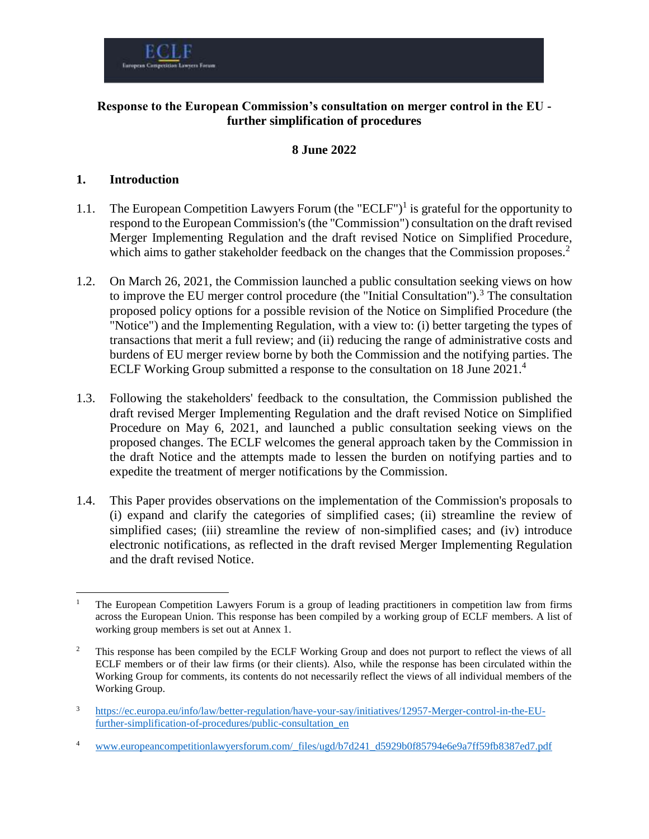

### **Response to the European Commission's consultation on merger control in the EU further simplification of procedures**

#### **8 June 2022**

#### **1. Introduction**

 $\overline{a}$ 

- 1.1. The European Competition Lawyers Forum (the "ECLF")<sup>1</sup> is grateful for the opportunity to respond to the European Commission's (the "Commission") consultation on the draft revised Merger Implementing Regulation and the draft revised Notice on Simplified Procedure, which aims to gather stakeholder feedback on the changes that the Commission proposes.<sup>2</sup>
- 1.2. On March 26, 2021, the Commission launched a public consultation seeking views on how to improve the EU merger control procedure (the "Initial Consultation").<sup>3</sup> The consultation proposed policy options for a possible revision of the Notice on Simplified Procedure (the "Notice") and the Implementing Regulation, with a view to: (i) better targeting the types of transactions that merit a full review; and (ii) reducing the range of administrative costs and burdens of EU merger review borne by both the Commission and the notifying parties. The ECLF Working Group submitted a response to the consultation on 18 June 2021. 4
- 1.3. Following the stakeholders' feedback to the consultation, the Commission published the draft revised Merger Implementing Regulation and the draft revised Notice on Simplified Procedure on May 6, 2021, and launched a public consultation seeking views on the proposed changes. The ECLF welcomes the general approach taken by the Commission in the draft Notice and the attempts made to lessen the burden on notifying parties and to expedite the treatment of merger notifications by the Commission.
- 1.4. This Paper provides observations on the implementation of the Commission's proposals to (i) expand and clarify the categories of simplified cases; (ii) streamline the review of simplified cases; (iii) streamline the review of non-simplified cases; and (iv) introduce electronic notifications, as reflected in the draft revised Merger Implementing Regulation and the draft revised Notice.

<sup>4</sup> [www.europeancompetitionlawyersforum.com/\\_files/ugd/b7d241\\_d5929b0f85794e6e9a7ff59fb8387ed7.pdf](http://www.europeancompetitionlawyersforum.com/_files/ugd/b7d241_d5929b0f85794e6e9a7ff59fb8387ed7.pdf)

<sup>1</sup> The European Competition Lawyers Forum is a group of leading practitioners in competition law from firms across the European Union. This response has been compiled by a working group of ECLF members. A list of working group members is set out at Annex 1.

<sup>&</sup>lt;sup>2</sup> This response has been compiled by the ECLF Working Group and does not purport to reflect the views of all ECLF members or of their law firms (or their clients). Also, while the response has been circulated within the Working Group for comments, its contents do not necessarily reflect the views of all individual members of the Working Group.

<sup>3</sup> [https://ec.europa.eu/info/law/better-regulation/have-your-say/initiatives/12957-Merger-control-in-the-EU](https://ec.europa.eu/info/law/better-regulation/have-your-say/initiatives/12957-Merger-control-in-the-EU-further-simplification-of-procedures/public-consultation_en)[further-simplification-of-procedures/public-consultation\\_en](https://ec.europa.eu/info/law/better-regulation/have-your-say/initiatives/12957-Merger-control-in-the-EU-further-simplification-of-procedures/public-consultation_en)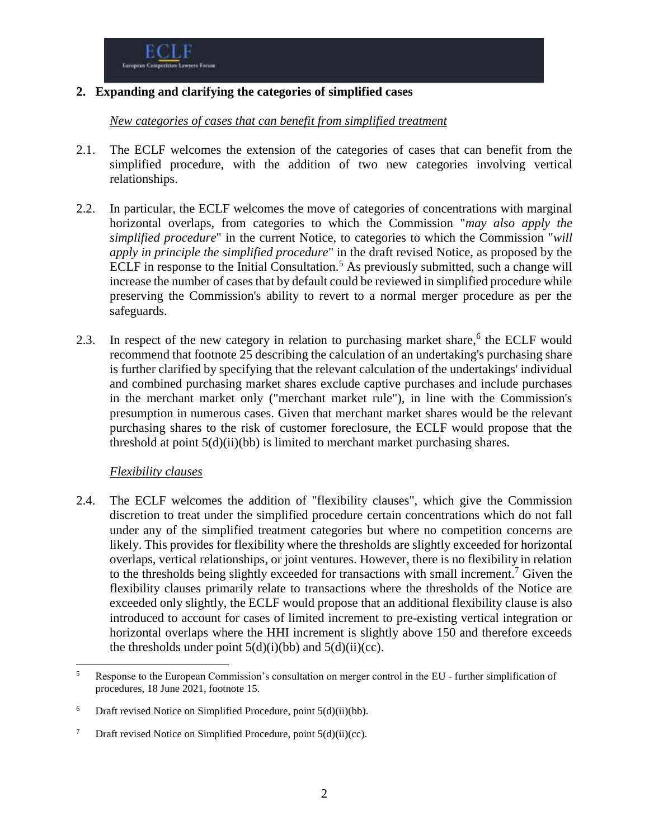### **2. Expanding and clarifying the categories of simplified cases**

*New categories of cases that can benefit from simplified treatment*

- 2.1. The ECLF welcomes the extension of the categories of cases that can benefit from the simplified procedure, with the addition of two new categories involving vertical relationships.
- 2.2. In particular, the ECLF welcomes the move of categories of concentrations with marginal horizontal overlaps, from categories to which the Commission "*may also apply the simplified procedure*" in the current Notice, to categories to which the Commission "*will apply in principle the simplified procedure*" in the draft revised Notice, as proposed by the ECLF in response to the Initial Consultation.<sup>5</sup> As previously submitted, such a change will increase the number of cases that by default could be reviewed in simplified procedure while preserving the Commission's ability to revert to a normal merger procedure as per the safeguards.
- 2.3. In respect of the new category in relation to purchasing market share,<sup>6</sup> the ECLF would recommend that footnote 25 describing the calculation of an undertaking's purchasing share is further clarified by specifying that the relevant calculation of the undertakings' individual and combined purchasing market shares exclude captive purchases and include purchases in the merchant market only ("merchant market rule"), in line with the Commission's presumption in numerous cases. Given that merchant market shares would be the relevant purchasing shares to the risk of customer foreclosure, the ECLF would propose that the threshold at point 5(d)(ii)(bb) is limited to merchant market purchasing shares.

## *Flexibility clauses*

2.4. The ECLF welcomes the addition of "flexibility clauses", which give the Commission discretion to treat under the simplified procedure certain concentrations which do not fall under any of the simplified treatment categories but where no competition concerns are likely. This provides for flexibility where the thresholds are slightly exceeded for horizontal overlaps, vertical relationships, or joint ventures. However, there is no flexibility in relation to the thresholds being slightly exceeded for transactions with small increment. <sup>7</sup> Given the flexibility clauses primarily relate to transactions where the thresholds of the Notice are exceeded only slightly, the ECLF would propose that an additional flexibility clause is also introduced to account for cases of limited increment to pre-existing vertical integration or horizontal overlaps where the HHI increment is slightly above 150 and therefore exceeds the thresholds under point  $5(d)(i)(bb)$  and  $5(d)(ii)(cc)$ .

 $\overline{a}$ <sup>5</sup> Response to the European Commission's consultation on merger control in the EU - further simplification of procedures, 18 June 2021, footnote 15.

<sup>&</sup>lt;sup>6</sup> Draft revised Notice on Simplified Procedure, point  $5(d)(ii)(bb)$ .

<sup>&</sup>lt;sup>7</sup> Draft revised Notice on Simplified Procedure, point  $5(d)(ii)(cc)$ .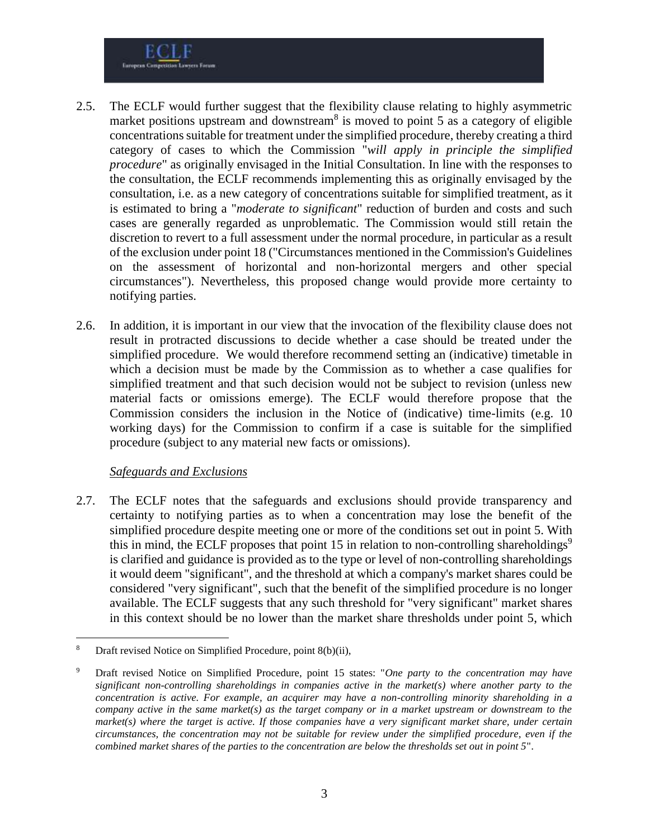

- 2.5. The ECLF would further suggest that the flexibility clause relating to highly asymmetric market positions upstream and downstream<sup>8</sup> is moved to point 5 as a category of eligible concentrations suitable for treatment under the simplified procedure, thereby creating a third category of cases to which the Commission "*will apply in principle the simplified procedure*" as originally envisaged in the Initial Consultation. In line with the responses to the consultation, the ECLF recommends implementing this as originally envisaged by the consultation, i.e. as a new category of concentrations suitable for simplified treatment, as it is estimated to bring a "*moderate to significant*" reduction of burden and costs and such cases are generally regarded as unproblematic. The Commission would still retain the discretion to revert to a full assessment under the normal procedure, in particular as a result of the exclusion under point 18 ("Circumstances mentioned in the Commission's Guidelines on the assessment of horizontal and non-horizontal mergers and other special circumstances"). Nevertheless, this proposed change would provide more certainty to notifying parties.
- 2.6. In addition, it is important in our view that the invocation of the flexibility clause does not result in protracted discussions to decide whether a case should be treated under the simplified procedure. We would therefore recommend setting an (indicative) timetable in which a decision must be made by the Commission as to whether a case qualifies for simplified treatment and that such decision would not be subject to revision (unless new material facts or omissions emerge). The ECLF would therefore propose that the Commission considers the inclusion in the Notice of (indicative) time-limits (e.g. 10 working days) for the Commission to confirm if a case is suitable for the simplified procedure (subject to any material new facts or omissions).

#### *Safeguards and Exclusions*

2.7. The ECLF notes that the safeguards and exclusions should provide transparency and certainty to notifying parties as to when a concentration may lose the benefit of the simplified procedure despite meeting one or more of the conditions set out in point 5. With this in mind, the ECLF proposes that point 15 in relation to non-controlling shareholdings<sup>9</sup> is clarified and guidance is provided as to the type or level of non-controlling shareholdings it would deem "significant", and the threshold at which a company's market shares could be considered "very significant", such that the benefit of the simplified procedure is no longer available. The ECLF suggests that any such threshold for "very significant" market shares in this context should be no lower than the market share thresholds under point 5, which

 $\overline{a}$ Draft revised Notice on Simplified Procedure, point 8(b)(ii),

<sup>9</sup> Draft revised Notice on Simplified Procedure, point 15 states: "*One party to the concentration may have significant non-controlling shareholdings in companies active in the market(s) where another party to the concentration is active. For example, an acquirer may have a non-controlling minority shareholding in a company active in the same market(s) as the target company or in a market upstream or downstream to the market(s) where the target is active. If those companies have a very significant market share, under certain circumstances, the concentration may not be suitable for review under the simplified procedure, even if the combined market shares of the parties to the concentration are below the thresholds set out in point 5*".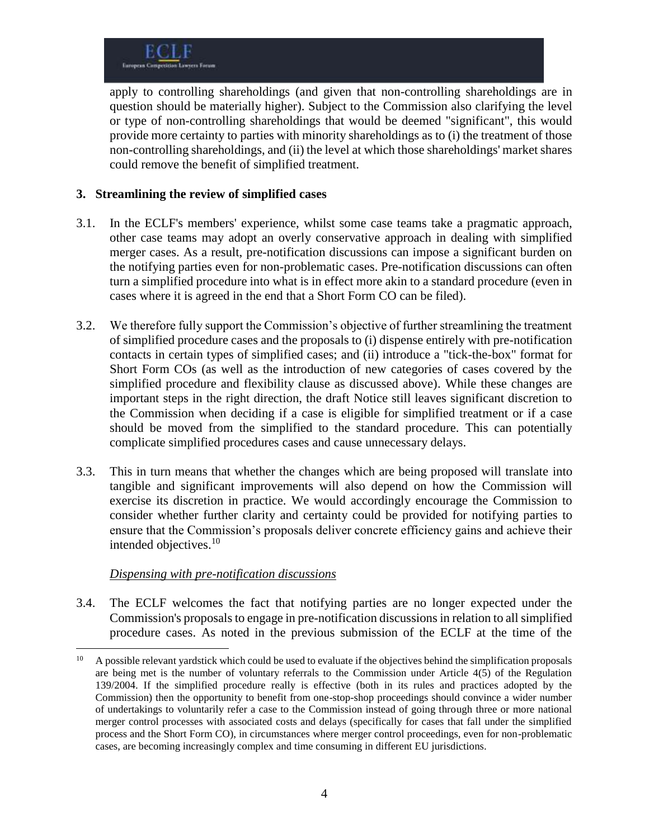apply to controlling shareholdings (and given that non-controlling shareholdings are in question should be materially higher). Subject to the Commission also clarifying the level or type of non-controlling shareholdings that would be deemed "significant", this would provide more certainty to parties with minority shareholdings as to (i) the treatment of those non-controlling shareholdings, and (ii) the level at which those shareholdings' market shares could remove the benefit of simplified treatment.

### **3. Streamlining the review of simplified cases**

- 3.1. In the ECLF's members' experience, whilst some case teams take a pragmatic approach, other case teams may adopt an overly conservative approach in dealing with simplified merger cases. As a result, pre-notification discussions can impose a significant burden on the notifying parties even for non-problematic cases. Pre-notification discussions can often turn a simplified procedure into what is in effect more akin to a standard procedure (even in cases where it is agreed in the end that a Short Form CO can be filed).
- 3.2. We therefore fully support the Commission's objective of further streamlining the treatment of simplified procedure cases and the proposals to (i) dispense entirely with pre-notification contacts in certain types of simplified cases; and (ii) introduce a "tick-the-box" format for Short Form COs (as well as the introduction of new categories of cases covered by the simplified procedure and flexibility clause as discussed above). While these changes are important steps in the right direction, the draft Notice still leaves significant discretion to the Commission when deciding if a case is eligible for simplified treatment or if a case should be moved from the simplified to the standard procedure. This can potentially complicate simplified procedures cases and cause unnecessary delays.
- 3.3. This in turn means that whether the changes which are being proposed will translate into tangible and significant improvements will also depend on how the Commission will exercise its discretion in practice. We would accordingly encourage the Commission to consider whether further clarity and certainty could be provided for notifying parties to ensure that the Commission's proposals deliver concrete efficiency gains and achieve their intended objectives.<sup>10</sup>

## *Dispensing with pre-notification discussions*

3.4. The ECLF welcomes the fact that notifying parties are no longer expected under the Commission's proposals to engage in pre-notification discussions in relation to all simplified procedure cases. As noted in the previous submission of the ECLF at the time of the

 $10<sup>10</sup>$ <sup>10</sup> A possible relevant yardstick which could be used to evaluate if the objectives behind the simplification proposals are being met is the number of voluntary referrals to the Commission under Article 4(5) of the Regulation 139/2004. If the simplified procedure really is effective (both in its rules and practices adopted by the Commission) then the opportunity to benefit from one-stop-shop proceedings should convince a wider number of undertakings to voluntarily refer a case to the Commission instead of going through three or more national merger control processes with associated costs and delays (specifically for cases that fall under the simplified process and the Short Form CO), in circumstances where merger control proceedings, even for non-problematic cases, are becoming increasingly complex and time consuming in different EU jurisdictions.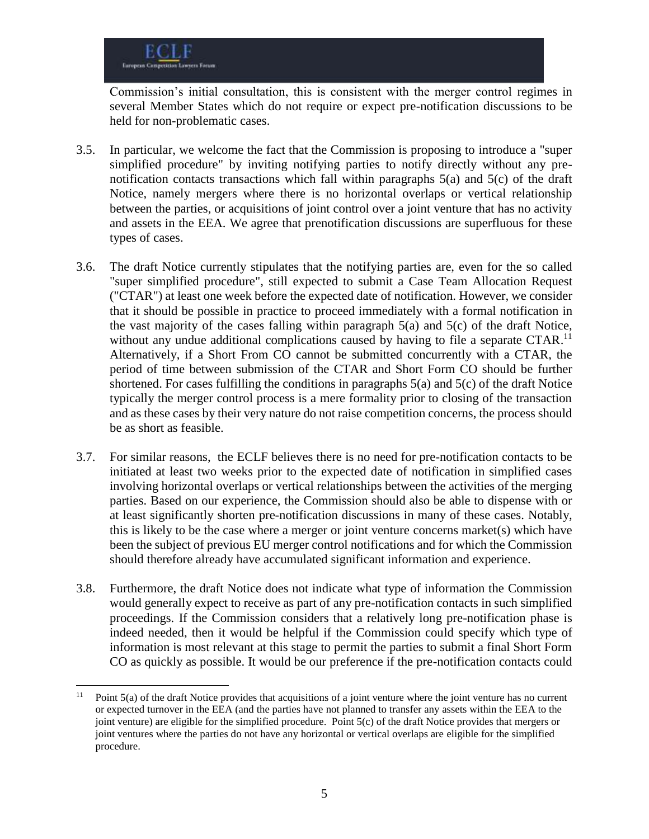$\overline{a}$ 

Commission's initial consultation, this is consistent with the merger control regimes in several Member States which do not require or expect pre-notification discussions to be held for non-problematic cases.

- 3.5. In particular, we welcome the fact that the Commission is proposing to introduce a "super simplified procedure" by inviting notifying parties to notify directly without any prenotification contacts transactions which fall within paragraphs 5(a) and 5(c) of the draft Notice, namely mergers where there is no horizontal overlaps or vertical relationship between the parties, or acquisitions of joint control over a joint venture that has no activity and assets in the EEA. We agree that prenotification discussions are superfluous for these types of cases.
- 3.6. The draft Notice currently stipulates that the notifying parties are, even for the so called "super simplified procedure", still expected to submit a Case Team Allocation Request ("CTAR") at least one week before the expected date of notification. However, we consider that it should be possible in practice to proceed immediately with a formal notification in the vast majority of the cases falling within paragraph  $5(a)$  and  $5(c)$  of the draft Notice, without any undue additional complications caused by having to file a separate CTAR.<sup>11</sup> Alternatively, if a Short From CO cannot be submitted concurrently with a CTAR, the period of time between submission of the CTAR and Short Form CO should be further shortened. For cases fulfilling the conditions in paragraphs 5(a) and 5(c) of the draft Notice typically the merger control process is a mere formality prior to closing of the transaction and as these cases by their very nature do not raise competition concerns, the process should be as short as feasible.
- 3.7. For similar reasons, the ECLF believes there is no need for pre-notification contacts to be initiated at least two weeks prior to the expected date of notification in simplified cases involving horizontal overlaps or vertical relationships between the activities of the merging parties. Based on our experience, the Commission should also be able to dispense with or at least significantly shorten pre-notification discussions in many of these cases. Notably, this is likely to be the case where a merger or joint venture concerns market(s) which have been the subject of previous EU merger control notifications and for which the Commission should therefore already have accumulated significant information and experience.
- 3.8. Furthermore, the draft Notice does not indicate what type of information the Commission would generally expect to receive as part of any pre-notification contacts in such simplified proceedings. If the Commission considers that a relatively long pre-notification phase is indeed needed, then it would be helpful if the Commission could specify which type of information is most relevant at this stage to permit the parties to submit a final Short Form CO as quickly as possible. It would be our preference if the pre-notification contacts could

<sup>&</sup>lt;sup>11</sup> Point  $5(a)$  of the draft Notice provides that acquisitions of a joint venture where the joint venture has no current or expected turnover in the EEA (and the parties have not planned to transfer any assets within the EEA to the joint venture) are eligible for the simplified procedure. Point 5(c) of the draft Notice provides that mergers or joint ventures where the parties do not have any horizontal or vertical overlaps are eligible for the simplified procedure.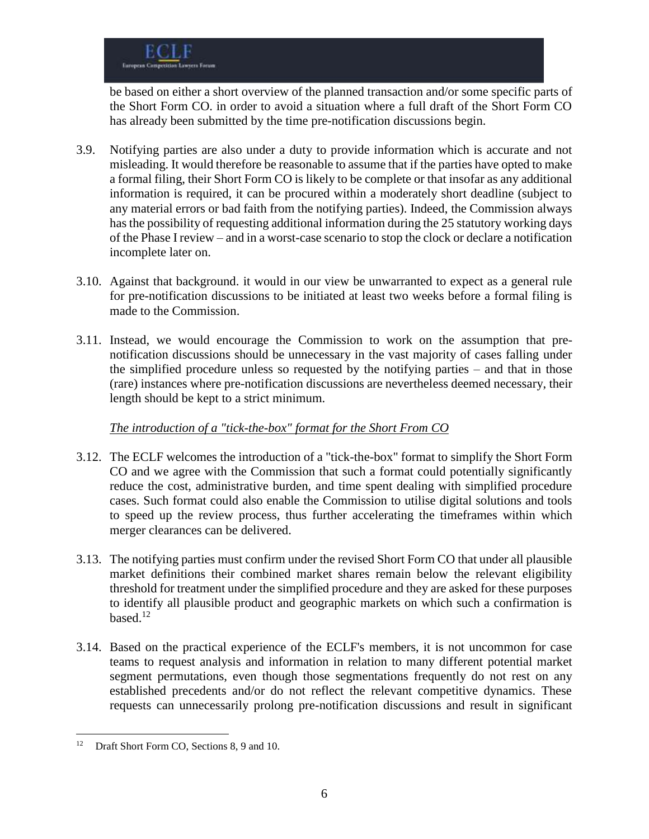be based on either a short overview of the planned transaction and/or some specific parts of the Short Form CO. in order to avoid a situation where a full draft of the Short Form CO has already been submitted by the time pre-notification discussions begin.

- 3.9. Notifying parties are also under a duty to provide information which is accurate and not misleading. It would therefore be reasonable to assume that if the parties have opted to make a formal filing, their Short Form CO is likely to be complete or that insofar as any additional information is required, it can be procured within a moderately short deadline (subject to any material errors or bad faith from the notifying parties). Indeed, the Commission always has the possibility of requesting additional information during the 25 statutory working days of the Phase I review – and in a worst-case scenario to stop the clock or declare a notification incomplete later on.
- 3.10. Against that background. it would in our view be unwarranted to expect as a general rule for pre-notification discussions to be initiated at least two weeks before a formal filing is made to the Commission.
- 3.11. Instead, we would encourage the Commission to work on the assumption that prenotification discussions should be unnecessary in the vast majority of cases falling under the simplified procedure unless so requested by the notifying parties – and that in those (rare) instances where pre-notification discussions are nevertheless deemed necessary, their length should be kept to a strict minimum.

# *The introduction of a "tick-the-box" format for the Short From CO*

- 3.12. The ECLF welcomes the introduction of a "tick-the-box" format to simplify the Short Form CO and we agree with the Commission that such a format could potentially significantly reduce the cost, administrative burden, and time spent dealing with simplified procedure cases. Such format could also enable the Commission to utilise digital solutions and tools to speed up the review process, thus further accelerating the timeframes within which merger clearances can be delivered.
- 3.13. The notifying parties must confirm under the revised Short Form CO that under all plausible market definitions their combined market shares remain below the relevant eligibility threshold for treatment under the simplified procedure and they are asked for these purposes to identify all plausible product and geographic markets on which such a confirmation is based. $12$
- 3.14. Based on the practical experience of the ECLF's members, it is not uncommon for case teams to request analysis and information in relation to many different potential market segment permutations, even though those segmentations frequently do not rest on any established precedents and/or do not reflect the relevant competitive dynamics. These requests can unnecessarily prolong pre-notification discussions and result in significant

<sup>&</sup>lt;sup>12</sup> Draft Short Form CO, Sections 8, 9 and 10.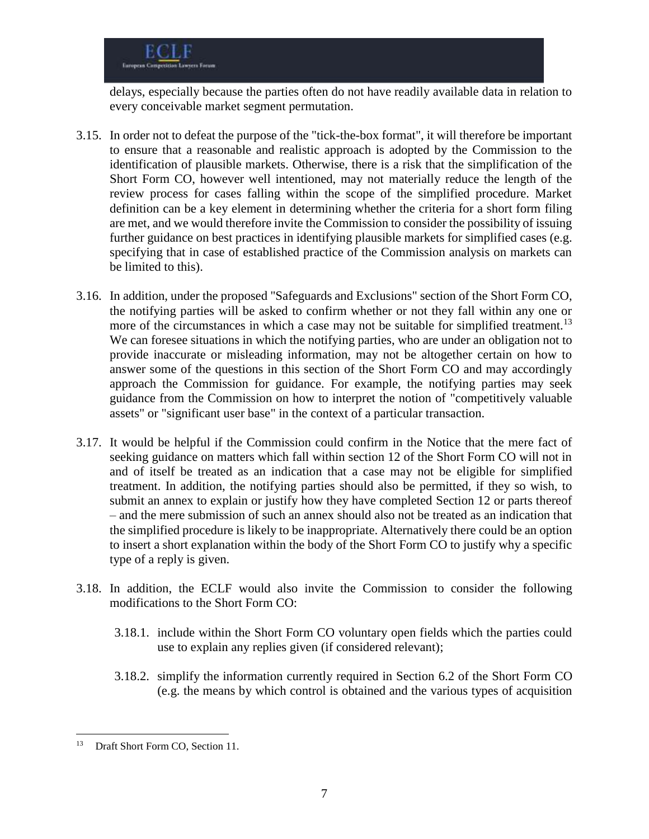delays, especially because the parties often do not have readily available data in relation to every conceivable market segment permutation.

- 3.15. In order not to defeat the purpose of the "tick-the-box format", it will therefore be important to ensure that a reasonable and realistic approach is adopted by the Commission to the identification of plausible markets. Otherwise, there is a risk that the simplification of the Short Form CO, however well intentioned, may not materially reduce the length of the review process for cases falling within the scope of the simplified procedure. Market definition can be a key element in determining whether the criteria for a short form filing are met, and we would therefore invite the Commission to consider the possibility of issuing further guidance on best practices in identifying plausible markets for simplified cases (e.g. specifying that in case of established practice of the Commission analysis on markets can be limited to this).
- 3.16. In addition, under the proposed "Safeguards and Exclusions" section of the Short Form CO, the notifying parties will be asked to confirm whether or not they fall within any one or more of the circumstances in which a case may not be suitable for simplified treatment.<sup>13</sup> We can foresee situations in which the notifying parties, who are under an obligation not to provide inaccurate or misleading information, may not be altogether certain on how to answer some of the questions in this section of the Short Form CO and may accordingly approach the Commission for guidance. For example, the notifying parties may seek guidance from the Commission on how to interpret the notion of "competitively valuable assets" or "significant user base" in the context of a particular transaction.
- 3.17. It would be helpful if the Commission could confirm in the Notice that the mere fact of seeking guidance on matters which fall within section 12 of the Short Form CO will not in and of itself be treated as an indication that a case may not be eligible for simplified treatment. In addition, the notifying parties should also be permitted, if they so wish, to submit an annex to explain or justify how they have completed Section 12 or parts thereof – and the mere submission of such an annex should also not be treated as an indication that the simplified procedure is likely to be inappropriate. Alternatively there could be an option to insert a short explanation within the body of the Short Form CO to justify why a specific type of a reply is given.
- 3.18. In addition, the ECLF would also invite the Commission to consider the following modifications to the Short Form CO:
	- 3.18.1. include within the Short Form CO voluntary open fields which the parties could use to explain any replies given (if considered relevant);
	- 3.18.2. simplify the information currently required in Section 6.2 of the Short Form CO (e.g. the means by which control is obtained and the various types of acquisition

<sup>&</sup>lt;sup>13</sup> Draft Short Form CO, Section 11.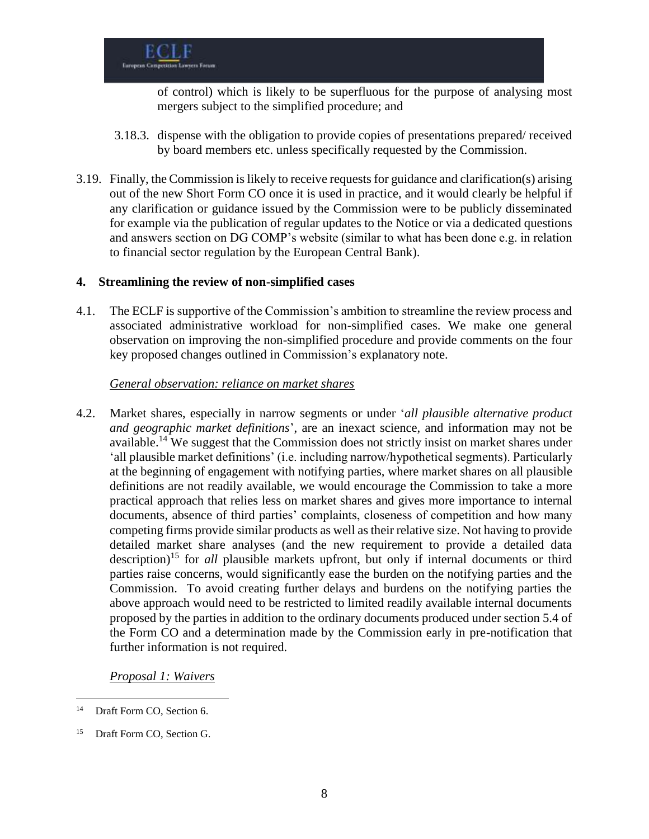of control) which is likely to be superfluous for the purpose of analysing most mergers subject to the simplified procedure; and

- 3.18.3. dispense with the obligation to provide copies of presentations prepared/ received by board members etc. unless specifically requested by the Commission.
- 3.19. Finally, the Commission is likely to receive requests for guidance and clarification(s) arising out of the new Short Form CO once it is used in practice, and it would clearly be helpful if any clarification or guidance issued by the Commission were to be publicly disseminated for example via the publication of regular updates to the Notice or via a dedicated questions and answers section on DG COMP's website (similar to what has been done e.g. in relation to financial sector regulation by the European Central Bank).

#### **4. Streamlining the review of non-simplified cases**

4.1. The ECLF is supportive of the Commission's ambition to streamline the review process and associated administrative workload for non-simplified cases. We make one general observation on improving the non-simplified procedure and provide comments on the four key proposed changes outlined in Commission's explanatory note.

#### *General observation: reliance on market shares*

4.2. Market shares, especially in narrow segments or under '*all plausible alternative product and geographic market definitions*', are an inexact science, and information may not be available.<sup>14</sup> We suggest that the Commission does not strictly insist on market shares under 'all plausible market definitions' (i.e. including narrow/hypothetical segments). Particularly at the beginning of engagement with notifying parties, where market shares on all plausible definitions are not readily available, we would encourage the Commission to take a more practical approach that relies less on market shares and gives more importance to internal documents, absence of third parties' complaints, closeness of competition and how many competing firms provide similar products as well as their relative size. Not having to provide detailed market share analyses (and the new requirement to provide a detailed data description)<sup>15</sup> for *all* plausible markets upfront, but only if internal documents or third parties raise concerns, would significantly ease the burden on the notifying parties and the Commission. To avoid creating further delays and burdens on the notifying parties the above approach would need to be restricted to limited readily available internal documents proposed by the parties in addition to the ordinary documents produced under section 5.4 of the Form CO and a determination made by the Commission early in pre-notification that further information is not required.

*Proposal 1: Waivers*

<sup>&</sup>lt;sup>14</sup> Draft Form CO, Section 6.

<sup>&</sup>lt;sup>15</sup> Draft Form CO, Section G.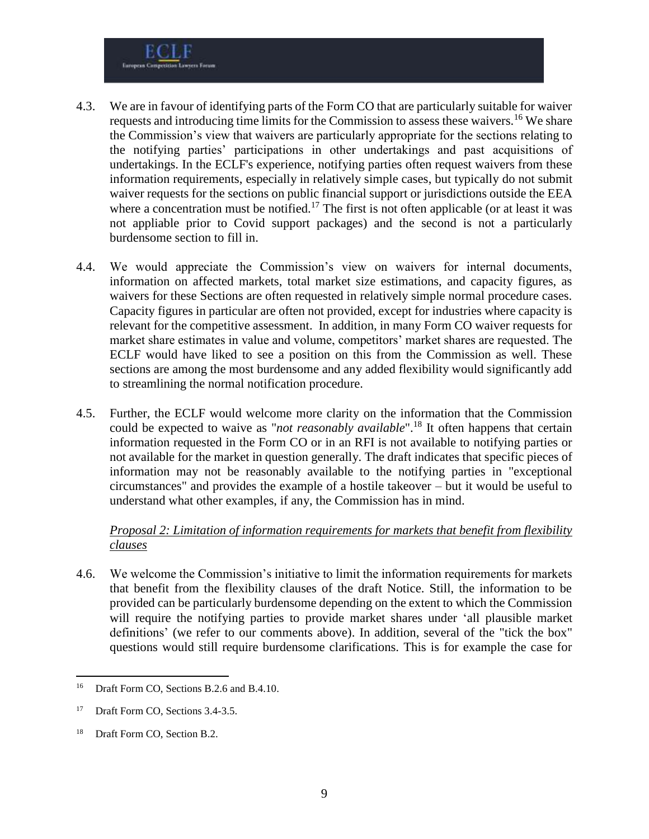- 4.3. We are in favour of identifying parts of the Form CO that are particularly suitable for waiver requests and introducing time limits for the Commission to assess these waivers.<sup>16</sup> We share the Commission's view that waivers are particularly appropriate for the sections relating to the notifying parties' participations in other undertakings and past acquisitions of undertakings. In the ECLF's experience, notifying parties often request waivers from these information requirements, especially in relatively simple cases, but typically do not submit waiver requests for the sections on public financial support or jurisdictions outside the EEA where a concentration must be notified.<sup>17</sup> The first is not often applicable (or at least it was not appliable prior to Covid support packages) and the second is not a particularly burdensome section to fill in.
- 4.4. We would appreciate the Commission's view on waivers for internal documents, information on affected markets, total market size estimations, and capacity figures, as waivers for these Sections are often requested in relatively simple normal procedure cases. Capacity figures in particular are often not provided, except for industries where capacity is relevant for the competitive assessment. In addition, in many Form CO waiver requests for market share estimates in value and volume, competitors' market shares are requested. The ECLF would have liked to see a position on this from the Commission as well. These sections are among the most burdensome and any added flexibility would significantly add to streamlining the normal notification procedure.
- 4.5. Further, the ECLF would welcome more clarity on the information that the Commission could be expected to waive as "*not reasonably available*". <sup>18</sup> It often happens that certain information requested in the Form CO or in an RFI is not available to notifying parties or not available for the market in question generally. The draft indicates that specific pieces of information may not be reasonably available to the notifying parties in "exceptional circumstances" and provides the example of a hostile takeover – but it would be useful to understand what other examples, if any, the Commission has in mind.

## *Proposal 2: Limitation of information requirements for markets that benefit from flexibility clauses*

4.6. We welcome the Commission's initiative to limit the information requirements for markets that benefit from the flexibility clauses of the draft Notice. Still, the information to be provided can be particularly burdensome depending on the extent to which the Commission will require the notifying parties to provide market shares under 'all plausible market definitions' (we refer to our comments above). In addition, several of the "tick the box" questions would still require burdensome clarifications. This is for example the case for

<sup>&</sup>lt;sup>16</sup> Draft Form CO, Sections B.2.6 and B.4.10.

<sup>&</sup>lt;sup>17</sup> Draft Form CO, Sections 3.4-3.5.

<sup>&</sup>lt;sup>18</sup> Draft Form CO, Section B.2.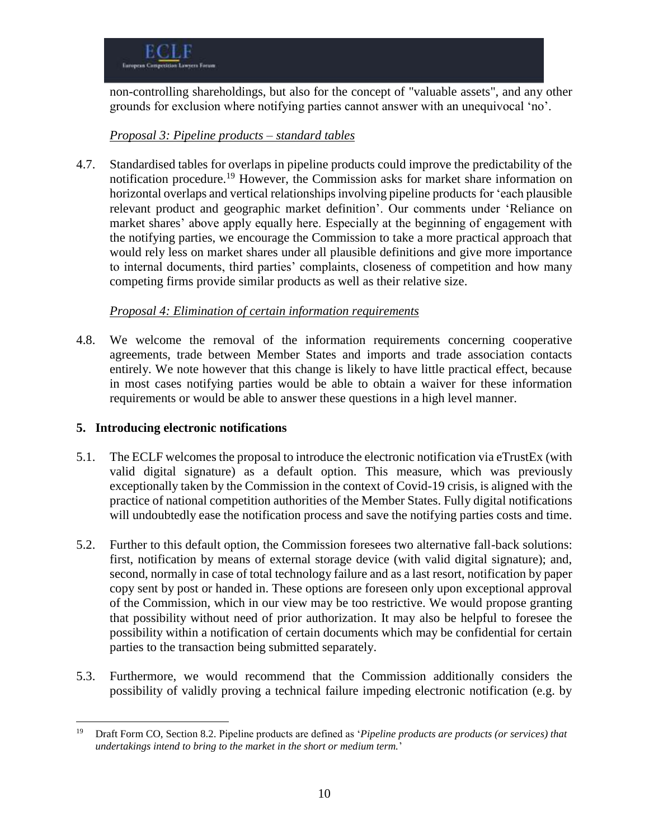

non-controlling shareholdings, but also for the concept of "valuable assets", and any other grounds for exclusion where notifying parties cannot answer with an unequivocal 'no'.

## *Proposal 3: Pipeline products – standard tables*

4.7. Standardised tables for overlaps in pipeline products could improve the predictability of the notification procedure.<sup>19</sup> However, the Commission asks for market share information on horizontal overlaps and vertical relationships involving pipeline products for 'each plausible relevant product and geographic market definition'. Our comments under 'Reliance on market shares' above apply equally here. Especially at the beginning of engagement with the notifying parties, we encourage the Commission to take a more practical approach that would rely less on market shares under all plausible definitions and give more importance to internal documents, third parties' complaints, closeness of competition and how many competing firms provide similar products as well as their relative size.

#### *Proposal 4: Elimination of certain information requirements*

4.8. We welcome the removal of the information requirements concerning cooperative agreements, trade between Member States and imports and trade association contacts entirely. We note however that this change is likely to have little practical effect, because in most cases notifying parties would be able to obtain a waiver for these information requirements or would be able to answer these questions in a high level manner.

## **5. Introducing electronic notifications**

- 5.1. The ECLF welcomes the proposal to introduce the electronic notification via eTrustEx (with valid digital signature) as a default option. This measure, which was previously exceptionally taken by the Commission in the context of Covid-19 crisis, is aligned with the practice of national competition authorities of the Member States. Fully digital notifications will undoubtedly ease the notification process and save the notifying parties costs and time.
- 5.2. Further to this default option, the Commission foresees two alternative fall-back solutions: first, notification by means of external storage device (with valid digital signature); and, second, normally in case of total technology failure and as a last resort, notification by paper copy sent by post or handed in. These options are foreseen only upon exceptional approval of the Commission, which in our view may be too restrictive. We would propose granting that possibility without need of prior authorization. It may also be helpful to foresee the possibility within a notification of certain documents which may be confidential for certain parties to the transaction being submitted separately.
- 5.3. Furthermore, we would recommend that the Commission additionally considers the possibility of validly proving a technical failure impeding electronic notification (e.g. by

 $\overline{a}$ <sup>19</sup> Draft Form CO, Section 8.2. Pipeline products are defined as '*Pipeline products are products (or services) that undertakings intend to bring to the market in the short or medium term.*'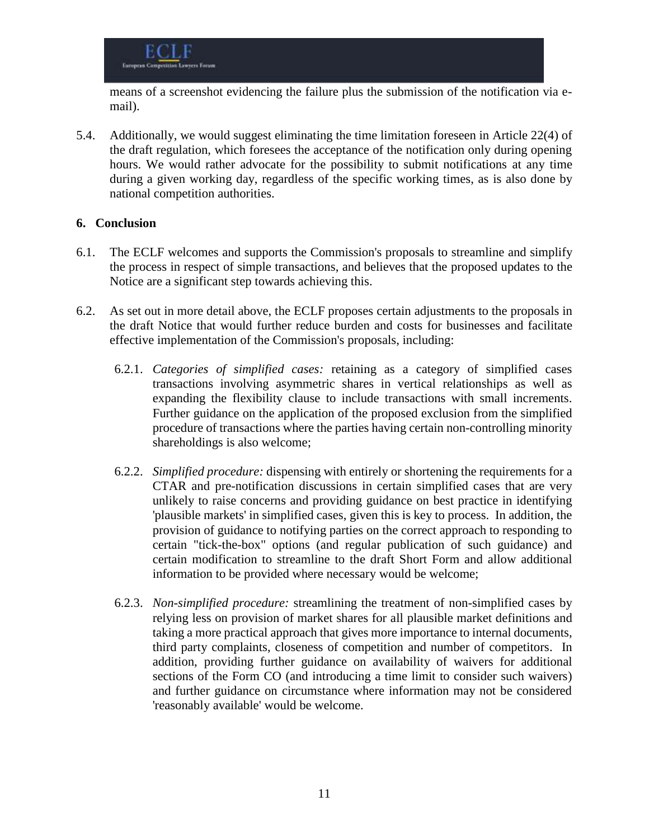means of a screenshot evidencing the failure plus the submission of the notification via email).

5.4. Additionally, we would suggest eliminating the time limitation foreseen in Article 22(4) of the draft regulation, which foresees the acceptance of the notification only during opening hours. We would rather advocate for the possibility to submit notifications at any time during a given working day, regardless of the specific working times, as is also done by national competition authorities.

## **6. Conclusion**

- 6.1. The ECLF welcomes and supports the Commission's proposals to streamline and simplify the process in respect of simple transactions, and believes that the proposed updates to the Notice are a significant step towards achieving this.
- 6.2. As set out in more detail above, the ECLF proposes certain adjustments to the proposals in the draft Notice that would further reduce burden and costs for businesses and facilitate effective implementation of the Commission's proposals, including:
	- 6.2.1. *Categories of simplified cases:* retaining as a category of simplified cases transactions involving asymmetric shares in vertical relationships as well as expanding the flexibility clause to include transactions with small increments. Further guidance on the application of the proposed exclusion from the simplified procedure of transactions where the parties having certain non-controlling minority shareholdings is also welcome;
	- 6.2.2. *Simplified procedure:* dispensing with entirely or shortening the requirements for a CTAR and pre-notification discussions in certain simplified cases that are very unlikely to raise concerns and providing guidance on best practice in identifying 'plausible markets' in simplified cases, given this is key to process. In addition, the provision of guidance to notifying parties on the correct approach to responding to certain "tick-the-box" options (and regular publication of such guidance) and certain modification to streamline to the draft Short Form and allow additional information to be provided where necessary would be welcome;
	- 6.2.3. *Non-simplified procedure:* streamlining the treatment of non-simplified cases by relying less on provision of market shares for all plausible market definitions and taking a more practical approach that gives more importance to internal documents, third party complaints, closeness of competition and number of competitors. In addition, providing further guidance on availability of waivers for additional sections of the Form CO (and introducing a time limit to consider such waivers) and further guidance on circumstance where information may not be considered 'reasonably available' would be welcome.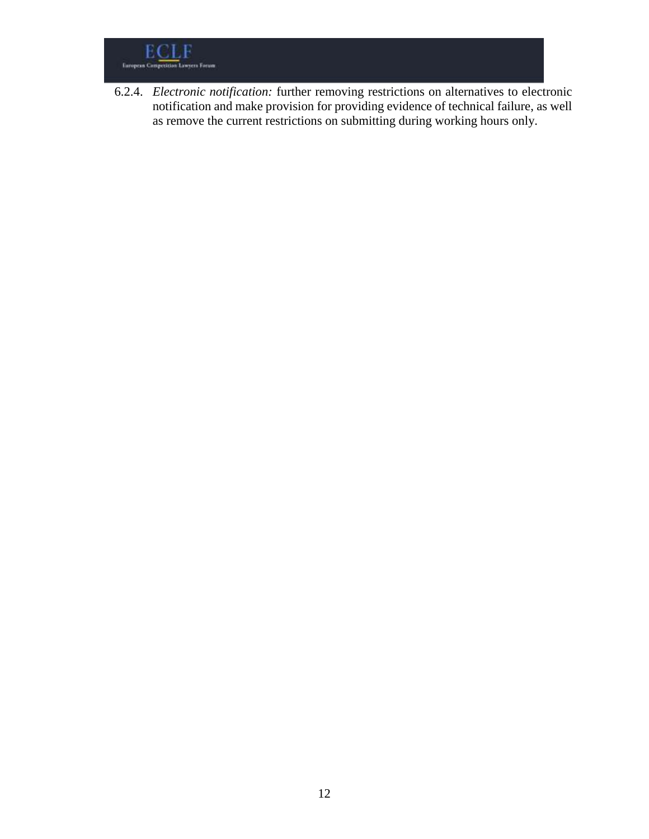

6.2.4. *Electronic notification:* further removing restrictions on alternatives to electronic notification and make provision for providing evidence of technical failure, as well as remove the current restrictions on submitting during working hours only.